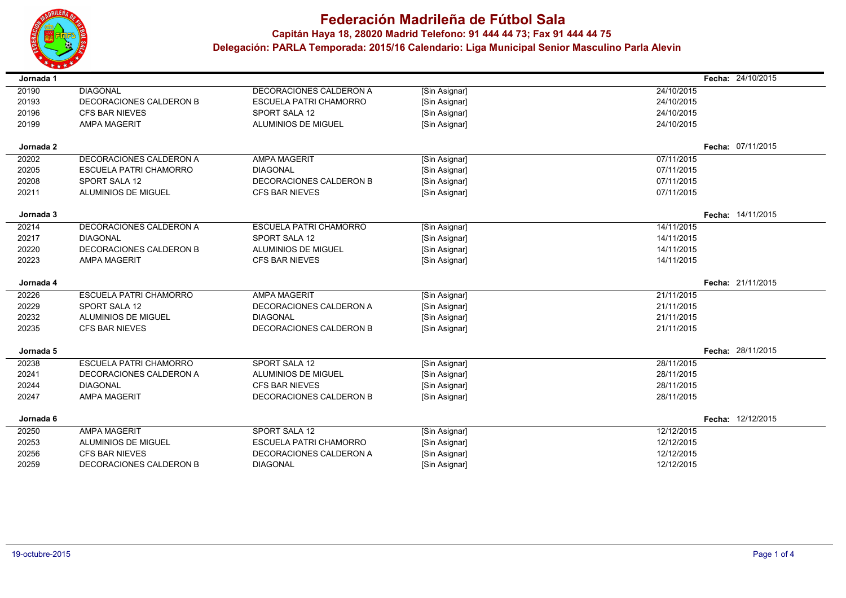

## **Federación Madrileña de Fútbol SalaCapitán Haya 18, <sup>28020</sup> Madrid Telefono: 91 444 44 73; Fax 91 444 44 75**

 **Delegación: PARLA Temporada: 2015/16 Calendario: Liga Municipal Senior Masculino Parla Alevin**

| Jornada 1      |                                                  |                                            |                                | Fecha: 24/10/2015        |
|----------------|--------------------------------------------------|--------------------------------------------|--------------------------------|--------------------------|
| 20190          | <b>DIAGONAL</b>                                  | DECORACIONES CALDERON A                    | [Sin Asignar]                  | 24/10/2015               |
| 20193          | DECORACIONES CALDERON B                          | <b>ESCUELA PATRI CHAMORRO</b>              | [Sin Asignar]                  | 24/10/2015               |
| 20196          | <b>CFS BAR NIEVES</b>                            | SPORT SALA 12                              | [Sin Asignar]                  | 24/10/2015               |
| 20199          | <b>AMPA MAGERIT</b>                              | <b>ALUMINIOS DE MIGUEL</b>                 | [Sin Asignar]                  | 24/10/2015               |
|                |                                                  |                                            |                                |                          |
| Jornada 2      |                                                  |                                            |                                | Fecha: 07/11/2015        |
| 20202          | DECORACIONES CALDERON A                          | <b>AMPA MAGERIT</b>                        | [Sin Asignar]                  | 07/11/2015               |
| 20205          | <b>ESCUELA PATRI CHAMORRO</b>                    | <b>DIAGONAL</b>                            | [Sin Asignar]                  | 07/11/2015               |
| 20208          | SPORT SALA 12                                    | DECORACIONES CALDERON B                    | [Sin Asignar]                  | 07/11/2015               |
| 20211          | <b>ALUMINIOS DE MIGUEL</b>                       | <b>CFS BAR NIEVES</b>                      | [Sin Asignar]                  | 07/11/2015               |
| Jornada 3      |                                                  |                                            |                                | Fecha: 14/11/2015        |
| 20214          | DECORACIONES CALDERON A                          | <b>ESCUELA PATRI CHAMORRO</b>              | [Sin Asignar]                  | 14/11/2015               |
| 20217          | <b>DIAGONAL</b>                                  | <b>SPORT SALA 12</b>                       | [Sin Asignar]                  | 14/11/2015               |
| 20220          | DECORACIONES CALDERON B                          | <b>ALUMINIOS DE MIGUEL</b>                 | [Sin Asignar]                  | 14/11/2015               |
| 20223          | <b>AMPA MAGERIT</b>                              | <b>CFS BAR NIEVES</b>                      | [Sin Asignar]                  | 14/11/2015               |
|                |                                                  |                                            |                                |                          |
|                |                                                  |                                            |                                |                          |
| Jornada 4      |                                                  |                                            |                                | Fecha: 21/11/2015        |
| 20226          | <b>ESCUELA PATRI CHAMORRO</b>                    | <b>AMPA MAGERIT</b>                        | [Sin Asignar]                  | 21/11/2015               |
| 20229          | <b>SPORT SALA 12</b>                             | DECORACIONES CALDERON A                    | [Sin Asignar]                  | 21/11/2015               |
| 20232          | ALUMINIOS DE MIGUEL                              | <b>DIAGONAL</b>                            | [Sin Asignar]                  | 21/11/2015               |
| 20235          | <b>CFS BAR NIEVES</b>                            | DECORACIONES CALDERON B                    | [Sin Asignar]                  | 21/11/2015               |
|                |                                                  |                                            |                                |                          |
| Jornada 5      |                                                  |                                            |                                | Fecha: 28/11/2015        |
| 20238          | <b>ESCUELA PATRI CHAMORRO</b>                    | SPORT SALA 12                              | [Sin Asignar]                  | 28/11/2015               |
| 20241          | DECORACIONES CALDERON A                          | <b>ALUMINIOS DE MIGUEL</b>                 | [Sin Asignar]                  | 28/11/2015               |
| 20244          | <b>DIAGONAL</b>                                  | <b>CFS BAR NIEVES</b>                      | [Sin Asignar]                  | 28/11/2015               |
| 20247          | <b>AMPA MAGERIT</b>                              | DECORACIONES CALDERON B                    | [Sin Asignar]                  | 28/11/2015               |
| Jornada 6      |                                                  |                                            |                                | Fecha: 12/12/2015        |
| 20250          | <b>AMPA MAGERIT</b>                              | SPORT SALA 12                              | [Sin Asignar]                  | 12/12/2015               |
| 20253          | <b>ALUMINIOS DE MIGUEL</b>                       | <b>ESCUELA PATRI CHAMORRO</b>              | [Sin Asignar]                  | 12/12/2015               |
| 20256<br>20259 | <b>CFS BAR NIEVES</b><br>DECORACIONES CALDERON B | DECORACIONES CALDERON A<br><b>DIAGONAL</b> | [Sin Asignar]<br>[Sin Asignar] | 12/12/2015<br>12/12/2015 |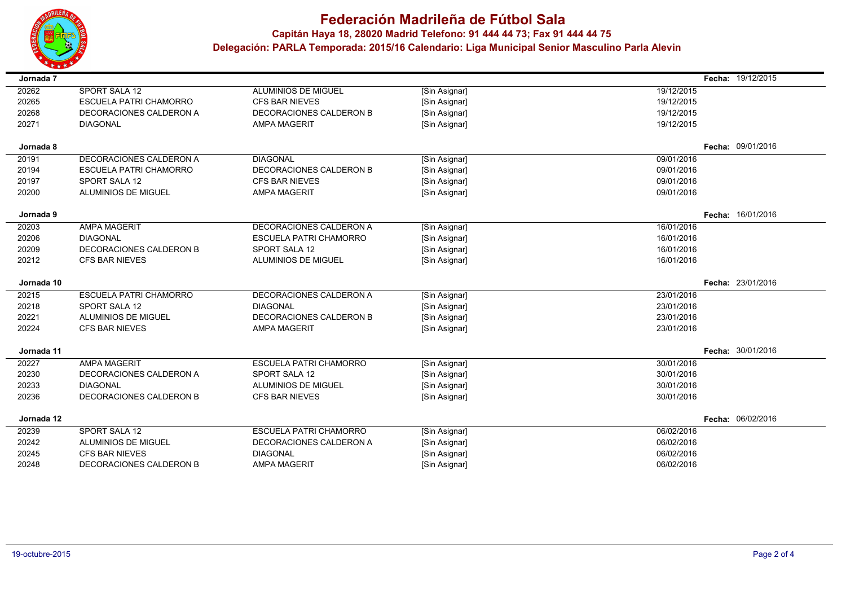

## **Federación Madrileña de Fútbol Sala Capitán Haya 18, <sup>28020</sup> Madrid Telefono: 91 444 44 73; Fax 91 444 44 75 Delegación: PARLA Temporada: 2015/16 Calendario: Liga Municipal Senior Masculino Parla Alevin**

| Jornada 7  |                               |                               |               |            | Fecha: 19/12/2015 |
|------------|-------------------------------|-------------------------------|---------------|------------|-------------------|
| 20262      | SPORT SALA 12                 | ALUMINIOS DE MIGUEL           | [Sin Asignar] | 19/12/2015 |                   |
| 20265      | <b>ESCUELA PATRI CHAMORRO</b> | <b>CFS BAR NIEVES</b>         | [Sin Asignar] | 19/12/2015 |                   |
| 20268      | DECORACIONES CALDERON A       | DECORACIONES CALDERON B       | [Sin Asignar] | 19/12/2015 |                   |
| 20271      | <b>DIAGONAL</b>               | <b>AMPA MAGERIT</b>           | [Sin Asignar] | 19/12/2015 |                   |
|            |                               |                               |               |            |                   |
| Jornada 8  |                               |                               |               |            | Fecha: 09/01/2016 |
| 20191      | DECORACIONES CALDERON A       | <b>DIAGONAL</b>               | [Sin Asignar] | 09/01/2016 |                   |
| 20194      | <b>ESCUELA PATRI CHAMORRO</b> | DECORACIONES CALDERON B       | [Sin Asignar] | 09/01/2016 |                   |
| 20197      | <b>SPORT SALA 12</b>          | <b>CFS BAR NIEVES</b>         | [Sin Asignar] | 09/01/2016 |                   |
| 20200      | <b>ALUMINIOS DE MIGUEL</b>    | <b>AMPA MAGERIT</b>           | [Sin Asignar] | 09/01/2016 |                   |
|            |                               |                               |               |            |                   |
| Jornada 9  |                               |                               |               |            | Fecha: 16/01/2016 |
| 20203      | <b>AMPA MAGERIT</b>           | DECORACIONES CALDERON A       | [Sin Asignar] | 16/01/2016 |                   |
| 20206      | <b>DIAGONAL</b>               | <b>ESCUELA PATRI CHAMORRO</b> | [Sin Asignar] | 16/01/2016 |                   |
| 20209      | DECORACIONES CALDERON B       | SPORT SALA 12                 | [Sin Asignar] | 16/01/2016 |                   |
| 20212      | <b>CFS BAR NIEVES</b>         | <b>ALUMINIOS DE MIGUEL</b>    | [Sin Asignar] | 16/01/2016 |                   |
|            |                               |                               |               |            |                   |
| Jornada 10 |                               |                               |               |            | Fecha: 23/01/2016 |
| 20215      | <b>ESCUELA PATRI CHAMORRO</b> | DECORACIONES CALDERON A       | [Sin Asignar] | 23/01/2016 |                   |
| 20218      | <b>SPORT SALA 12</b>          | <b>DIAGONAL</b>               | [Sin Asignar] | 23/01/2016 |                   |
| 20221      | ALUMINIOS DE MIGUEL           | DECORACIONES CALDERON B       | [Sin Asignar] | 23/01/2016 |                   |
| 20224      | <b>CFS BAR NIEVES</b>         | <b>AMPA MAGERIT</b>           | [Sin Asignar] | 23/01/2016 |                   |
|            |                               |                               |               |            |                   |
| Jornada 11 |                               |                               |               |            | Fecha: 30/01/2016 |
| 20227      | <b>AMPA MAGERIT</b>           | <b>ESCUELA PATRI CHAMORRO</b> | [Sin Asignar] | 30/01/2016 |                   |
| 20230      | DECORACIONES CALDERON A       | SPORT SALA 12                 | [Sin Asignar] | 30/01/2016 |                   |
| 20233      | <b>DIAGONAL</b>               | <b>ALUMINIOS DE MIGUEL</b>    | [Sin Asignar] | 30/01/2016 |                   |
| 20236      | DECORACIONES CALDERON B       | <b>CFS BAR NIEVES</b>         | [Sin Asignar] | 30/01/2016 |                   |
|            |                               |                               |               |            | Fecha: 06/02/2016 |
| Jornada 12 |                               |                               |               |            |                   |
| 20239      | SPORT SALA 12                 | <b>ESCUELA PATRI CHAMORRO</b> | [Sin Asignar] | 06/02/2016 |                   |
| 20242      | <b>ALUMINIOS DE MIGUEL</b>    | DECORACIONES CALDERON A       | [Sin Asignar] | 06/02/2016 |                   |
| 20245      | <b>CFS BAR NIEVES</b>         | <b>DIAGONAL</b>               | [Sin Asignar] | 06/02/2016 |                   |
| 20248      | DECORACIONES CALDERON B       | <b>AMPA MAGERIT</b>           | [Sin Asignar] | 06/02/2016 |                   |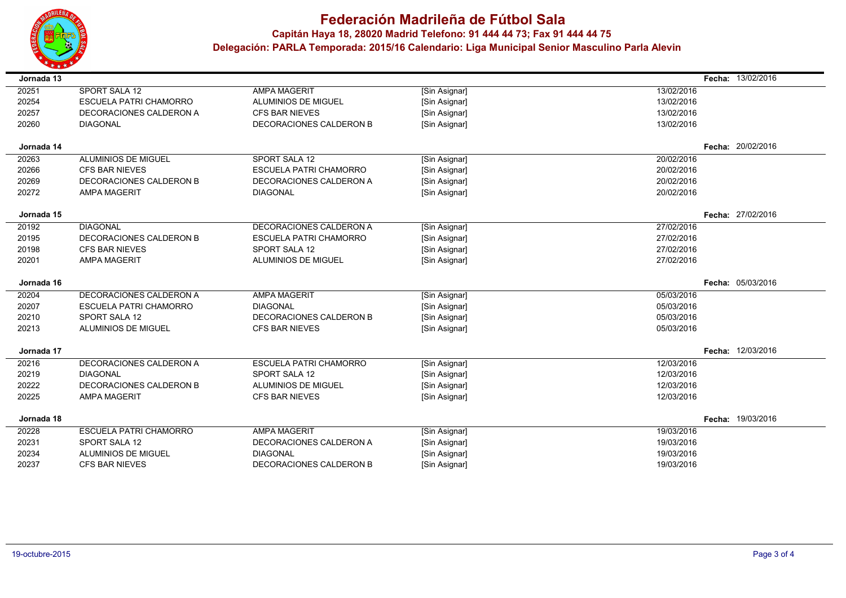

## **Federación Madrileña de Fútbol Sala Capitán Haya 18, <sup>28020</sup> Madrid Telefono: 91 444 44 73; Fax 91 444 44 75 Delegación: PARLA Temporada: 2015/16 Calendario: Liga Municipal Senior Masculino Parla Alevin**

| 20251<br>SPORT SALA 12<br><b>AMPA MAGERIT</b><br>13/02/2016<br>[Sin Asignar]<br>20254<br><b>ESCUELA PATRI CHAMORRO</b><br>ALUMINIOS DE MIGUEL<br>[Sin Asignar]<br>13/02/2016<br>20257<br>DECORACIONES CALDERON A<br><b>CFS BAR NIEVES</b><br>[Sin Asignar]<br>13/02/2016<br>20260<br><b>DIAGONAL</b><br>DECORACIONES CALDERON B<br>[Sin Asignar]<br>13/02/2016<br>Fecha: 20/02/2016<br>Jornada 14<br>ALUMINIOS DE MIGUEL<br>SPORT SALA 12<br>20263<br>[Sin Asignar]<br>20/02/2016<br>20266<br><b>CFS BAR NIEVES</b><br><b>ESCUELA PATRI CHAMORRO</b><br>[Sin Asignar]<br>20/02/2016<br>20269<br>DECORACIONES CALDERON B<br>20/02/2016<br>DECORACIONES CALDERON A<br>[Sin Asignar]<br>20/02/2016<br>20272<br><b>AMPA MAGERIT</b><br><b>DIAGONAL</b><br>[Sin Asignar]<br>Fecha: 27/02/2016<br>Jornada 15<br>20192<br><b>DIAGONAL</b><br>DECORACIONES CALDERON A<br>27/02/2016<br>[Sin Asignar]<br>20195<br>DECORACIONES CALDERON B<br><b>ESCUELA PATRI CHAMORRO</b><br>27/02/2016<br>[Sin Asignar]<br>20198<br><b>CFS BAR NIEVES</b><br>SPORT SALA 12<br>27/02/2016<br>[Sin Asignar]<br>20201<br><b>AMPA MAGERIT</b><br><b>ALUMINIOS DE MIGUEL</b><br>[Sin Asignar]<br>27/02/2016<br>Fecha: 05/03/2016<br>Jornada 16<br>20204<br>DECORACIONES CALDERON A<br><b>AMPA MAGERIT</b><br>05/03/2016<br>[Sin Asignar]<br>20207<br><b>ESCUELA PATRI CHAMORRO</b><br><b>DIAGONAL</b><br>[Sin Asignar]<br>05/03/2016<br>20210<br>SPORT SALA 12<br>DECORACIONES CALDERON B<br>05/03/2016<br>[Sin Asignar]<br>20213<br><b>ALUMINIOS DE MIGUEL</b><br><b>CFS BAR NIEVES</b><br>[Sin Asignar]<br>05/03/2016<br>12/03/2016<br>Jornada 17<br>Fecha:<br>20216<br>DECORACIONES CALDERON A<br><b>ESCUELA PATRI CHAMORRO</b><br>12/03/2016<br>[Sin Asignar]<br>20219<br><b>DIAGONAL</b><br>SPORT SALA 12<br>12/03/2016<br>[Sin Asignar]<br><b>ALUMINIOS DE MIGUEL</b><br>20222<br>DECORACIONES CALDERON B<br>[Sin Asignar]<br>12/03/2016<br>20225<br>[Sin Asignar]<br>12/03/2016<br><b>AMPA MAGERIT</b><br><b>CFS BAR NIEVES</b><br>Fecha: 19/03/2016<br>Jornada 18<br>20228<br><b>ESCUELA PATRI CHAMORRO</b><br><b>AMPA MAGERIT</b><br>[Sin Asignar]<br>19/03/2016<br>20231<br><b>SPORT SALA 12</b><br>DECORACIONES CALDERON A<br>[Sin Asignar]<br>19/03/2016<br>20234<br>ALUMINIOS DE MIGUEL<br>19/03/2016<br><b>DIAGONAL</b><br>[Sin Asignar]<br>20237<br><b>CFS BAR NIEVES</b><br>DECORACIONES CALDERON B<br>[Sin Asignar]<br>19/03/2016 | Jornada 13 |  | Fecha: | 13/02/2016 |
|------------------------------------------------------------------------------------------------------------------------------------------------------------------------------------------------------------------------------------------------------------------------------------------------------------------------------------------------------------------------------------------------------------------------------------------------------------------------------------------------------------------------------------------------------------------------------------------------------------------------------------------------------------------------------------------------------------------------------------------------------------------------------------------------------------------------------------------------------------------------------------------------------------------------------------------------------------------------------------------------------------------------------------------------------------------------------------------------------------------------------------------------------------------------------------------------------------------------------------------------------------------------------------------------------------------------------------------------------------------------------------------------------------------------------------------------------------------------------------------------------------------------------------------------------------------------------------------------------------------------------------------------------------------------------------------------------------------------------------------------------------------------------------------------------------------------------------------------------------------------------------------------------------------------------------------------------------------------------------------------------------------------------------------------------------------------------------------------------------------------------------------------------------------------------------------------------------------------------------------------------------------------------------------------------------------------------------------------------------------------------------------------------------------------|------------|--|--------|------------|
|                                                                                                                                                                                                                                                                                                                                                                                                                                                                                                                                                                                                                                                                                                                                                                                                                                                                                                                                                                                                                                                                                                                                                                                                                                                                                                                                                                                                                                                                                                                                                                                                                                                                                                                                                                                                                                                                                                                                                                                                                                                                                                                                                                                                                                                                                                                                                                                                                        |            |  |        |            |
|                                                                                                                                                                                                                                                                                                                                                                                                                                                                                                                                                                                                                                                                                                                                                                                                                                                                                                                                                                                                                                                                                                                                                                                                                                                                                                                                                                                                                                                                                                                                                                                                                                                                                                                                                                                                                                                                                                                                                                                                                                                                                                                                                                                                                                                                                                                                                                                                                        |            |  |        |            |
|                                                                                                                                                                                                                                                                                                                                                                                                                                                                                                                                                                                                                                                                                                                                                                                                                                                                                                                                                                                                                                                                                                                                                                                                                                                                                                                                                                                                                                                                                                                                                                                                                                                                                                                                                                                                                                                                                                                                                                                                                                                                                                                                                                                                                                                                                                                                                                                                                        |            |  |        |            |
|                                                                                                                                                                                                                                                                                                                                                                                                                                                                                                                                                                                                                                                                                                                                                                                                                                                                                                                                                                                                                                                                                                                                                                                                                                                                                                                                                                                                                                                                                                                                                                                                                                                                                                                                                                                                                                                                                                                                                                                                                                                                                                                                                                                                                                                                                                                                                                                                                        |            |  |        |            |
|                                                                                                                                                                                                                                                                                                                                                                                                                                                                                                                                                                                                                                                                                                                                                                                                                                                                                                                                                                                                                                                                                                                                                                                                                                                                                                                                                                                                                                                                                                                                                                                                                                                                                                                                                                                                                                                                                                                                                                                                                                                                                                                                                                                                                                                                                                                                                                                                                        |            |  |        |            |
|                                                                                                                                                                                                                                                                                                                                                                                                                                                                                                                                                                                                                                                                                                                                                                                                                                                                                                                                                                                                                                                                                                                                                                                                                                                                                                                                                                                                                                                                                                                                                                                                                                                                                                                                                                                                                                                                                                                                                                                                                                                                                                                                                                                                                                                                                                                                                                                                                        |            |  |        |            |
|                                                                                                                                                                                                                                                                                                                                                                                                                                                                                                                                                                                                                                                                                                                                                                                                                                                                                                                                                                                                                                                                                                                                                                                                                                                                                                                                                                                                                                                                                                                                                                                                                                                                                                                                                                                                                                                                                                                                                                                                                                                                                                                                                                                                                                                                                                                                                                                                                        |            |  |        |            |
|                                                                                                                                                                                                                                                                                                                                                                                                                                                                                                                                                                                                                                                                                                                                                                                                                                                                                                                                                                                                                                                                                                                                                                                                                                                                                                                                                                                                                                                                                                                                                                                                                                                                                                                                                                                                                                                                                                                                                                                                                                                                                                                                                                                                                                                                                                                                                                                                                        |            |  |        |            |
|                                                                                                                                                                                                                                                                                                                                                                                                                                                                                                                                                                                                                                                                                                                                                                                                                                                                                                                                                                                                                                                                                                                                                                                                                                                                                                                                                                                                                                                                                                                                                                                                                                                                                                                                                                                                                                                                                                                                                                                                                                                                                                                                                                                                                                                                                                                                                                                                                        |            |  |        |            |
|                                                                                                                                                                                                                                                                                                                                                                                                                                                                                                                                                                                                                                                                                                                                                                                                                                                                                                                                                                                                                                                                                                                                                                                                                                                                                                                                                                                                                                                                                                                                                                                                                                                                                                                                                                                                                                                                                                                                                                                                                                                                                                                                                                                                                                                                                                                                                                                                                        |            |  |        |            |
|                                                                                                                                                                                                                                                                                                                                                                                                                                                                                                                                                                                                                                                                                                                                                                                                                                                                                                                                                                                                                                                                                                                                                                                                                                                                                                                                                                                                                                                                                                                                                                                                                                                                                                                                                                                                                                                                                                                                                                                                                                                                                                                                                                                                                                                                                                                                                                                                                        |            |  |        |            |
|                                                                                                                                                                                                                                                                                                                                                                                                                                                                                                                                                                                                                                                                                                                                                                                                                                                                                                                                                                                                                                                                                                                                                                                                                                                                                                                                                                                                                                                                                                                                                                                                                                                                                                                                                                                                                                                                                                                                                                                                                                                                                                                                                                                                                                                                                                                                                                                                                        |            |  |        |            |
|                                                                                                                                                                                                                                                                                                                                                                                                                                                                                                                                                                                                                                                                                                                                                                                                                                                                                                                                                                                                                                                                                                                                                                                                                                                                                                                                                                                                                                                                                                                                                                                                                                                                                                                                                                                                                                                                                                                                                                                                                                                                                                                                                                                                                                                                                                                                                                                                                        |            |  |        |            |
|                                                                                                                                                                                                                                                                                                                                                                                                                                                                                                                                                                                                                                                                                                                                                                                                                                                                                                                                                                                                                                                                                                                                                                                                                                                                                                                                                                                                                                                                                                                                                                                                                                                                                                                                                                                                                                                                                                                                                                                                                                                                                                                                                                                                                                                                                                                                                                                                                        |            |  |        |            |
|                                                                                                                                                                                                                                                                                                                                                                                                                                                                                                                                                                                                                                                                                                                                                                                                                                                                                                                                                                                                                                                                                                                                                                                                                                                                                                                                                                                                                                                                                                                                                                                                                                                                                                                                                                                                                                                                                                                                                                                                                                                                                                                                                                                                                                                                                                                                                                                                                        |            |  |        |            |
|                                                                                                                                                                                                                                                                                                                                                                                                                                                                                                                                                                                                                                                                                                                                                                                                                                                                                                                                                                                                                                                                                                                                                                                                                                                                                                                                                                                                                                                                                                                                                                                                                                                                                                                                                                                                                                                                                                                                                                                                                                                                                                                                                                                                                                                                                                                                                                                                                        |            |  |        |            |
|                                                                                                                                                                                                                                                                                                                                                                                                                                                                                                                                                                                                                                                                                                                                                                                                                                                                                                                                                                                                                                                                                                                                                                                                                                                                                                                                                                                                                                                                                                                                                                                                                                                                                                                                                                                                                                                                                                                                                                                                                                                                                                                                                                                                                                                                                                                                                                                                                        |            |  |        |            |
|                                                                                                                                                                                                                                                                                                                                                                                                                                                                                                                                                                                                                                                                                                                                                                                                                                                                                                                                                                                                                                                                                                                                                                                                                                                                                                                                                                                                                                                                                                                                                                                                                                                                                                                                                                                                                                                                                                                                                                                                                                                                                                                                                                                                                                                                                                                                                                                                                        |            |  |        |            |
|                                                                                                                                                                                                                                                                                                                                                                                                                                                                                                                                                                                                                                                                                                                                                                                                                                                                                                                                                                                                                                                                                                                                                                                                                                                                                                                                                                                                                                                                                                                                                                                                                                                                                                                                                                                                                                                                                                                                                                                                                                                                                                                                                                                                                                                                                                                                                                                                                        |            |  |        |            |
|                                                                                                                                                                                                                                                                                                                                                                                                                                                                                                                                                                                                                                                                                                                                                                                                                                                                                                                                                                                                                                                                                                                                                                                                                                                                                                                                                                                                                                                                                                                                                                                                                                                                                                                                                                                                                                                                                                                                                                                                                                                                                                                                                                                                                                                                                                                                                                                                                        |            |  |        |            |
|                                                                                                                                                                                                                                                                                                                                                                                                                                                                                                                                                                                                                                                                                                                                                                                                                                                                                                                                                                                                                                                                                                                                                                                                                                                                                                                                                                                                                                                                                                                                                                                                                                                                                                                                                                                                                                                                                                                                                                                                                                                                                                                                                                                                                                                                                                                                                                                                                        |            |  |        |            |
|                                                                                                                                                                                                                                                                                                                                                                                                                                                                                                                                                                                                                                                                                                                                                                                                                                                                                                                                                                                                                                                                                                                                                                                                                                                                                                                                                                                                                                                                                                                                                                                                                                                                                                                                                                                                                                                                                                                                                                                                                                                                                                                                                                                                                                                                                                                                                                                                                        |            |  |        |            |
|                                                                                                                                                                                                                                                                                                                                                                                                                                                                                                                                                                                                                                                                                                                                                                                                                                                                                                                                                                                                                                                                                                                                                                                                                                                                                                                                                                                                                                                                                                                                                                                                                                                                                                                                                                                                                                                                                                                                                                                                                                                                                                                                                                                                                                                                                                                                                                                                                        |            |  |        |            |
|                                                                                                                                                                                                                                                                                                                                                                                                                                                                                                                                                                                                                                                                                                                                                                                                                                                                                                                                                                                                                                                                                                                                                                                                                                                                                                                                                                                                                                                                                                                                                                                                                                                                                                                                                                                                                                                                                                                                                                                                                                                                                                                                                                                                                                                                                                                                                                                                                        |            |  |        |            |
|                                                                                                                                                                                                                                                                                                                                                                                                                                                                                                                                                                                                                                                                                                                                                                                                                                                                                                                                                                                                                                                                                                                                                                                                                                                                                                                                                                                                                                                                                                                                                                                                                                                                                                                                                                                                                                                                                                                                                                                                                                                                                                                                                                                                                                                                                                                                                                                                                        |            |  |        |            |
|                                                                                                                                                                                                                                                                                                                                                                                                                                                                                                                                                                                                                                                                                                                                                                                                                                                                                                                                                                                                                                                                                                                                                                                                                                                                                                                                                                                                                                                                                                                                                                                                                                                                                                                                                                                                                                                                                                                                                                                                                                                                                                                                                                                                                                                                                                                                                                                                                        |            |  |        |            |
|                                                                                                                                                                                                                                                                                                                                                                                                                                                                                                                                                                                                                                                                                                                                                                                                                                                                                                                                                                                                                                                                                                                                                                                                                                                                                                                                                                                                                                                                                                                                                                                                                                                                                                                                                                                                                                                                                                                                                                                                                                                                                                                                                                                                                                                                                                                                                                                                                        |            |  |        |            |
|                                                                                                                                                                                                                                                                                                                                                                                                                                                                                                                                                                                                                                                                                                                                                                                                                                                                                                                                                                                                                                                                                                                                                                                                                                                                                                                                                                                                                                                                                                                                                                                                                                                                                                                                                                                                                                                                                                                                                                                                                                                                                                                                                                                                                                                                                                                                                                                                                        |            |  |        |            |
|                                                                                                                                                                                                                                                                                                                                                                                                                                                                                                                                                                                                                                                                                                                                                                                                                                                                                                                                                                                                                                                                                                                                                                                                                                                                                                                                                                                                                                                                                                                                                                                                                                                                                                                                                                                                                                                                                                                                                                                                                                                                                                                                                                                                                                                                                                                                                                                                                        |            |  |        |            |
|                                                                                                                                                                                                                                                                                                                                                                                                                                                                                                                                                                                                                                                                                                                                                                                                                                                                                                                                                                                                                                                                                                                                                                                                                                                                                                                                                                                                                                                                                                                                                                                                                                                                                                                                                                                                                                                                                                                                                                                                                                                                                                                                                                                                                                                                                                                                                                                                                        |            |  |        |            |
|                                                                                                                                                                                                                                                                                                                                                                                                                                                                                                                                                                                                                                                                                                                                                                                                                                                                                                                                                                                                                                                                                                                                                                                                                                                                                                                                                                                                                                                                                                                                                                                                                                                                                                                                                                                                                                                                                                                                                                                                                                                                                                                                                                                                                                                                                                                                                                                                                        |            |  |        |            |
|                                                                                                                                                                                                                                                                                                                                                                                                                                                                                                                                                                                                                                                                                                                                                                                                                                                                                                                                                                                                                                                                                                                                                                                                                                                                                                                                                                                                                                                                                                                                                                                                                                                                                                                                                                                                                                                                                                                                                                                                                                                                                                                                                                                                                                                                                                                                                                                                                        |            |  |        |            |
|                                                                                                                                                                                                                                                                                                                                                                                                                                                                                                                                                                                                                                                                                                                                                                                                                                                                                                                                                                                                                                                                                                                                                                                                                                                                                                                                                                                                                                                                                                                                                                                                                                                                                                                                                                                                                                                                                                                                                                                                                                                                                                                                                                                                                                                                                                                                                                                                                        |            |  |        |            |